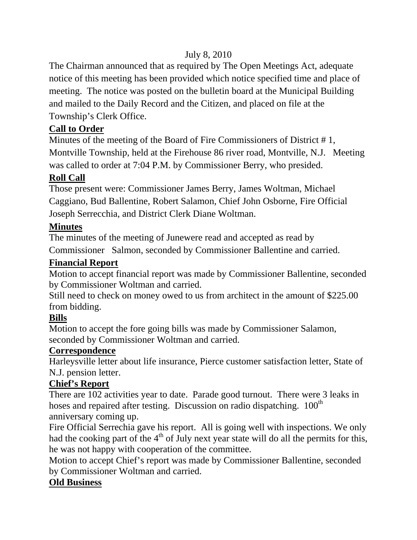# July 8, 2010

The Chairman announced that as required by The Open Meetings Act, adequate notice of this meeting has been provided which notice specified time and place of meeting. The notice was posted on the bulletin board at the Municipal Building and mailed to the Daily Record and the Citizen, and placed on file at the Township's Clerk Office.

# **Call to Order**

Minutes of the meeting of the Board of Fire Commissioners of District # 1, Montville Township, held at the Firehouse 86 river road, Montville, N.J. Meeting was called to order at 7:04 P.M. by Commissioner Berry, who presided.

### **Roll Call**

Those present were: Commissioner James Berry, James Woltman, Michael Caggiano, Bud Ballentine, Robert Salamon, Chief John Osborne, Fire Official Joseph Serrecchia, and District Clerk Diane Woltman.

### **Minutes**

The minutes of the meeting of Junewere read and accepted as read by Commissioner Salmon, seconded by Commissioner Ballentine and carried.

### **Financial Report**

Motion to accept financial report was made by Commissioner Ballentine, seconded by Commissioner Woltman and carried.

Still need to check on money owed to us from architect in the amount of \$225.00 from bidding.

### **Bills**

Motion to accept the fore going bills was made by Commissioner Salamon, seconded by Commissioner Woltman and carried.

### **Correspondence**

Harleysville letter about life insurance, Pierce customer satisfaction letter, State of N.J. pension letter.

### **Chief's Report**

There are 102 activities year to date. Parade good turnout. There were 3 leaks in hoses and repaired after testing. Discussion on radio dispatching.  $100<sup>th</sup>$ anniversary coming up.

Fire Official Serrechia gave his report. All is going well with inspections. We only had the cooking part of the  $4<sup>th</sup>$  of July next year state will do all the permits for this, he was not happy with cooperation of the committee.

Motion to accept Chief's report was made by Commissioner Ballentine, seconded by Commissioner Woltman and carried.

### **Old Business**